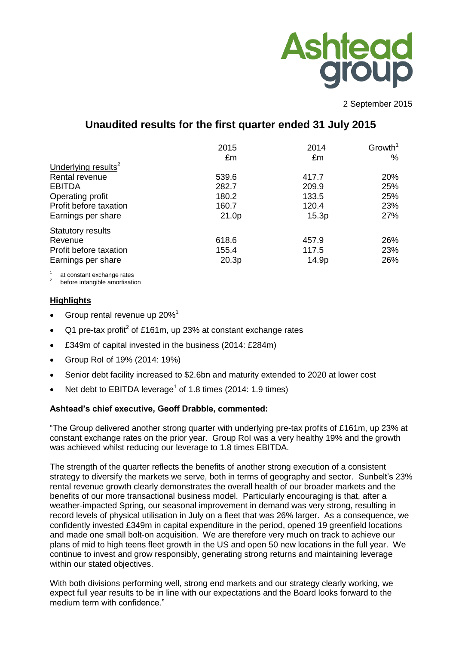

2 September 2015

# **Unaudited results for the first quarter ended 31 July 2015**

|                                 | 2015  | 2014  | Growth <sup>1</sup> |
|---------------------------------|-------|-------|---------------------|
|                                 | £m    | £m    | %                   |
| Underlying results <sup>2</sup> |       |       |                     |
| Rental revenue                  | 539.6 | 417.7 | 20%                 |
| <b>EBITDA</b>                   | 282.7 | 209.9 | 25%                 |
| Operating profit                | 180.2 | 133.5 | 25%                 |
| Profit before taxation          | 160.7 | 120.4 | 23%                 |
| Earnings per share              | 21.0p | 15.3p | 27%                 |
| <b>Statutory results</b>        |       |       |                     |
| Revenue                         | 618.6 | 457.9 | 26%                 |
| Profit before taxation          | 155.4 | 117.5 | 23%                 |
| Earnings per share              | 20.3p | 14.9p | 26%                 |
|                                 |       |       |                     |

1 at constant exchange rates

2 before intangible amortisation

## **Highlights**

- Group rental revenue up 20%<sup>1</sup>
- Q1 pre-tax profit<sup>2</sup> of £161m, up 23% at constant exchange rates
- £349m of capital invested in the business (2014: £284m)
- Group RoI of 19% (2014: 19%)
- Senior debt facility increased to \$2.6bn and maturity extended to 2020 at lower cost
- Net debt to EBITDA leverage<sup>1</sup> of 1.8 times (2014: 1.9 times)

## **Ashtead's chief executive, Geoff Drabble, commented:**

"The Group delivered another strong quarter with underlying pre-tax profits of £161m, up 23% at constant exchange rates on the prior year. Group RoI was a very healthy 19% and the growth was achieved whilst reducing our leverage to 1.8 times EBITDA.

The strength of the quarter reflects the benefits of another strong execution of a consistent strategy to diversify the markets we serve, both in terms of geography and sector. Sunbelt's 23% rental revenue growth clearly demonstrates the overall health of our broader markets and the benefits of our more transactional business model. Particularly encouraging is that, after a weather-impacted Spring, our seasonal improvement in demand was very strong, resulting in record levels of physical utilisation in July on a fleet that was 26% larger. As a consequence, we confidently invested £349m in capital expenditure in the period, opened 19 greenfield locations and made one small bolt-on acquisition. We are therefore very much on track to achieve our plans of mid to high teens fleet growth in the US and open 50 new locations in the full year. We continue to invest and grow responsibly, generating strong returns and maintaining leverage within our stated objectives.

With both divisions performing well, strong end markets and our strategy clearly working, we expect full year results to be in line with our expectations and the Board looks forward to the medium term with confidence."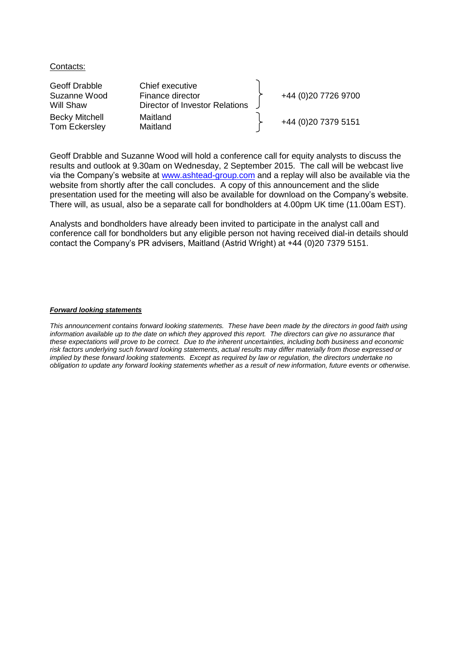#### Contacts:

| Geoff Drabble                          | Chief executive                |                     |
|----------------------------------------|--------------------------------|---------------------|
| Suzanne Wood                           | Finance director               | +44 (0)20 7726 9700 |
| Will Shaw                              | Director of Investor Relations |                     |
| <b>Becky Mitchell</b><br>Tom Eckersley | Maitland<br>Maitland           | +44 (0)20 7379 5151 |

Geoff Drabble and Suzanne Wood will hold a conference call for equity analysts to discuss the results and outlook at 9.30am on Wednesday, 2 September 2015. The call will be webcast live via the Company's website at [www.ashtead-group.com](http://www.ashtead-group.com/) and a replay will also be available via the website from shortly after the call concludes. A copy of this announcement and the slide presentation used for the meeting will also be available for download on the Company's website. There will, as usual, also be a separate call for bondholders at 4.00pm UK time (11.00am EST).

Analysts and bondholders have already been invited to participate in the analyst call and conference call for bondholders but any eligible person not having received dial-in details should contact the Company's PR advisers, Maitland (Astrid Wright) at +44 (0)20 7379 5151.

#### *Forward looking statements*

*This announcement contains forward looking statements. These have been made by the directors in good faith using*  information available up to the date on which they approved this report. The directors can give no assurance that *these expectations will prove to be correct. Due to the inherent uncertainties, including both business and economic risk factors underlying such forward looking statements, actual results may differ materially from those expressed or implied by these forward looking statements. Except as required by law or regulation, the directors undertake no obligation to update any forward looking statements whether as a result of new information, future events or otherwise.*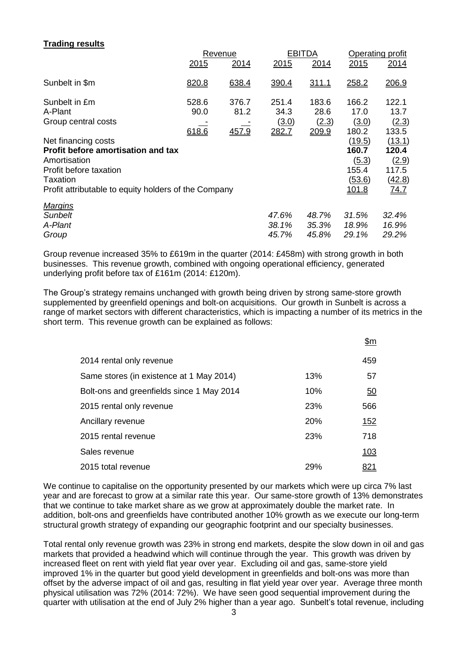# **Trading results**

|                                                                                                                                                                                |                        | Revenue                | <b>EBITDA</b>                          |                                 |                                                             | Operating profit                                    |  |
|--------------------------------------------------------------------------------------------------------------------------------------------------------------------------------|------------------------|------------------------|----------------------------------------|---------------------------------|-------------------------------------------------------------|-----------------------------------------------------|--|
|                                                                                                                                                                                | 2015                   | 2014                   | 2015                                   | 2014                            | 2015                                                        | 2014                                                |  |
| Sunbelt in \$m                                                                                                                                                                 | 820.8                  | 638.4                  | 390.4                                  | <u>311.1</u>                    | 258.2                                                       | 206.9                                               |  |
| Sunbelt in £m<br>A-Plant<br>Group central costs                                                                                                                                | 528.6<br>90.0<br>618.6 | 376.7<br>81.2<br>457.9 | 251.4<br>34.3<br><u>(3.0)</u><br>282.7 | 183.6<br>28.6<br>(2.3)<br>209.9 | 166.2<br>17.0<br>(3.0)<br>180.2                             | 122.1<br>13.7<br>(2.3)<br>133.5                     |  |
| Net financing costs<br><b>Profit before amortisation and tax</b><br>Amortisation<br>Profit before taxation<br>Taxation<br>Profit attributable to equity holders of the Company |                        |                        |                                        |                                 | (19.5)<br>160.7<br>(5.3)<br>155.4<br>(53.6)<br><u>101.8</u> | (13.1)<br>120.4<br>(2.9)<br>117.5<br>(42.8)<br>74.7 |  |
| <b>Margins</b><br><b>Sunbelt</b><br>A-Plant<br>Group                                                                                                                           |                        |                        | 47.6%<br>38.1%<br>45.7%                | 48.7%<br>35.3%<br>45.8%         | 31.5%<br>18.9%<br>29.1%                                     | 32.4%<br>16.9%<br>29.2%                             |  |

Group revenue increased 35% to £619m in the quarter (2014: £458m) with strong growth in both businesses. This revenue growth, combined with ongoing operational efficiency, generated underlying profit before tax of £161m (2014: £120m).

The Group's strategy remains unchanged with growth being driven by strong same-store growth supplemented by greenfield openings and bolt-on acquisitions. Our growth in Sunbelt is across a range of market sectors with different characteristics, which is impacting a number of its metrics in the short term. This revenue growth can be explained as follows:

|                                           |     | \$m         |
|-------------------------------------------|-----|-------------|
| 2014 rental only revenue                  |     | 459         |
| Same stores (in existence at 1 May 2014)  | 13% | 57          |
| Bolt-ons and greenfields since 1 May 2014 | 10% | 50          |
| 2015 rental only revenue                  | 23% | 566         |
| Ancillary revenue                         | 20% | <u> 152</u> |
| 2015 rental revenue                       | 23% | 718         |
| Sales revenue                             |     | <u>103</u>  |
| 2015 total revenue                        | 29% | <u>821</u>  |

We continue to capitalise on the opportunity presented by our markets which were up circa 7% last year and are forecast to grow at a similar rate this year. Our same-store growth of 13% demonstrates that we continue to take market share as we grow at approximately double the market rate. In addition, bolt-ons and greenfields have contributed another 10% growth as we execute our long-term structural growth strategy of expanding our geographic footprint and our specialty businesses.

Total rental only revenue growth was 23% in strong end markets, despite the slow down in oil and gas markets that provided a headwind which will continue through the year. This growth was driven by increased fleet on rent with yield flat year over year. Excluding oil and gas, same-store yield improved 1% in the quarter but good yield development in greenfields and bolt-ons was more than offset by the adverse impact of oil and gas, resulting in flat yield year over year. Average three month physical utilisation was 72% (2014: 72%). We have seen good sequential improvement during the quarter with utilisation at the end of July 2% higher than a year ago. Sunbelt's total revenue, including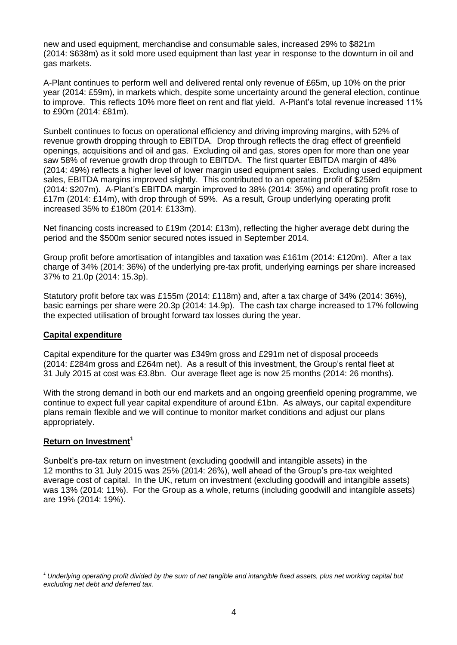new and used equipment, merchandise and consumable sales, increased 29% to \$821m (2014: \$638m) as it sold more used equipment than last year in response to the downturn in oil and gas markets.

A-Plant continues to perform well and delivered rental only revenue of £65m, up 10% on the prior year (2014: £59m), in markets which, despite some uncertainty around the general election, continue to improve. This reflects 10% more fleet on rent and flat yield. A-Plant's total revenue increased 11% to £90m (2014: £81m).

Sunbelt continues to focus on operational efficiency and driving improving margins, with 52% of revenue growth dropping through to EBITDA. Drop through reflects the drag effect of greenfield openings, acquisitions and oil and gas. Excluding oil and gas, stores open for more than one year saw 58% of revenue growth drop through to EBITDA. The first quarter EBITDA margin of 48% (2014: 49%) reflects a higher level of lower margin used equipment sales. Excluding used equipment sales, EBITDA margins improved slightly. This contributed to an operating profit of \$258m (2014: \$207m). A-Plant's EBITDA margin improved to 38% (2014: 35%) and operating profit rose to £17m (2014: £14m), with drop through of 59%. As a result, Group underlying operating profit increased 35% to £180m (2014: £133m).

Net financing costs increased to £19m (2014: £13m), reflecting the higher average debt during the period and the \$500m senior secured notes issued in September 2014.

Group profit before amortisation of intangibles and taxation was £161m (2014: £120m). After a tax charge of 34% (2014: 36%) of the underlying pre-tax profit, underlying earnings per share increased 37% to 21.0p (2014: 15.3p).

Statutory profit before tax was £155m (2014: £118m) and, after a tax charge of 34% (2014: 36%), basic earnings per share were 20.3p (2014: 14.9p). The cash tax charge increased to 17% following the expected utilisation of brought forward tax losses during the year.

## **Capital expenditure**

Capital expenditure for the quarter was £349m gross and £291m net of disposal proceeds (2014: £284m gross and £264m net). As a result of this investment, the Group's rental fleet at 31 July 2015 at cost was £3.8bn. Our average fleet age is now 25 months (2014: 26 months).

With the strong demand in both our end markets and an ongoing greenfield opening programme, we continue to expect full year capital expenditure of around £1bn. As always, our capital expenditure plans remain flexible and we will continue to monitor market conditions and adjust our plans appropriately.

# **Return on Investment<sup>1</sup>**

Sunbelt's pre-tax return on investment (excluding goodwill and intangible assets) in the 12 months to 31 July 2015 was 25% (2014: 26%), well ahead of the Group's pre-tax weighted average cost of capital. In the UK, return on investment (excluding goodwill and intangible assets) was 13% (2014: 11%). For the Group as a whole, returns (including goodwill and intangible assets) are 19% (2014: 19%).

*<sup>1</sup>Underlying operating profit divided by the sum of net tangible and intangible fixed assets, plus net working capital but excluding net debt and deferred tax.*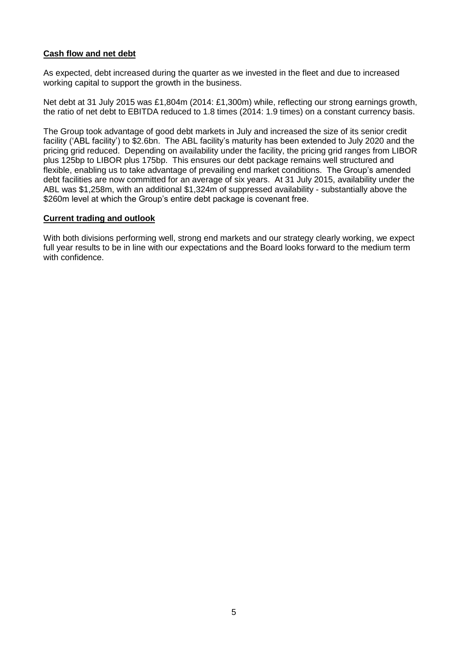# **Cash flow and net debt**

As expected, debt increased during the quarter as we invested in the fleet and due to increased working capital to support the growth in the business.

Net debt at 31 July 2015 was £1,804m (2014: £1,300m) while, reflecting our strong earnings growth, the ratio of net debt to EBITDA reduced to 1.8 times (2014: 1.9 times) on a constant currency basis.

The Group took advantage of good debt markets in July and increased the size of its senior credit facility ('ABL facility') to \$2.6bn. The ABL facility's maturity has been extended to July 2020 and the pricing grid reduced. Depending on availability under the facility, the pricing grid ranges from LIBOR plus 125bp to LIBOR plus 175bp. This ensures our debt package remains well structured and flexible, enabling us to take advantage of prevailing end market conditions. The Group's amended debt facilities are now committed for an average of six years. At 31 July 2015, availability under the ABL was \$1,258m, with an additional \$1,324m of suppressed availability - substantially above the \$260m level at which the Group's entire debt package is covenant free.

### **Current trading and outlook**

With both divisions performing well, strong end markets and our strategy clearly working, we expect full year results to be in line with our expectations and the Board looks forward to the medium term with confidence.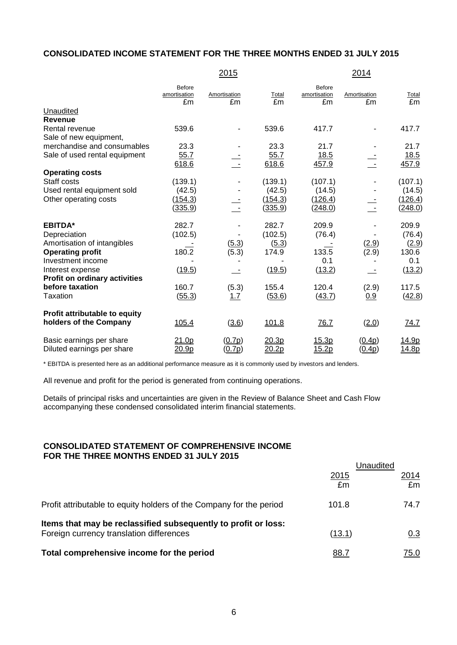# **CONSOLIDATED INCOME STATEMENT FOR THE THREE MONTHS ENDED 31 JULY 2015**

|                                      |                                     | 2015               |                |                                     | 2014               |                      |
|--------------------------------------|-------------------------------------|--------------------|----------------|-------------------------------------|--------------------|----------------------|
|                                      | <b>Before</b><br>amortisation<br>£m | Amortisation<br>£m | Total<br>£m    | <b>Before</b><br>amortisation<br>£m | Amortisation<br>£m | Total<br>£m          |
| Unaudited                            |                                     |                    |                |                                     |                    |                      |
| Revenue                              |                                     |                    |                |                                     |                    |                      |
| Rental revenue                       | 539.6                               |                    | 539.6          | 417.7                               |                    | 417.7                |
| Sale of new equipment,               |                                     |                    |                |                                     |                    |                      |
| merchandise and consumables          | 23.3                                |                    | 23.3           | 21.7                                |                    | 21.7                 |
| Sale of used rental equipment        | 55.7<br>618.6                       |                    | 55.7<br>618.6  | 18.5<br>457.9                       |                    | $\frac{18.5}{457.9}$ |
| <b>Operating costs</b>               |                                     |                    |                |                                     |                    |                      |
| Staff costs                          | (139.1)                             |                    | (139.1)        | (107.1)                             |                    | (107.1)              |
| Used rental equipment sold           | (42.5)                              |                    | (42.5)         | (14.5)                              |                    | (14.5)               |
| Other operating costs                | (154.3)                             |                    | (154.3)        | (126.4)                             |                    | (126.4)              |
|                                      | <u>(335.9)</u>                      |                    | <u>(335.9)</u> | <u>(248.0)</u>                      |                    | (248.0)              |
| <b>EBITDA*</b>                       | 282.7                               |                    | 282.7          | 209.9                               |                    | 209.9                |
| Depreciation                         | (102.5)                             |                    | (102.5)        | (76.4)                              |                    | (76.4)               |
| Amortisation of intangibles          |                                     | (5.3)              | (5.3)          |                                     | (2.9)              | (2.9)                |
| <b>Operating profit</b>              | 180.2                               | (5.3)              | 174.9          | 133.5                               | (2.9)              | 130.6                |
| Investment income                    |                                     |                    |                | 0.1                                 |                    | 0.1                  |
| Interest expense                     | (19.5)                              |                    | (19.5)         | (13.2)                              |                    | (13.2)               |
| <b>Profit on ordinary activities</b> |                                     |                    |                |                                     |                    |                      |
| before taxation                      | 160.7                               | (5.3)              | 155.4          | 120.4                               | (2.9)              | 117.5                |
| <b>Taxation</b>                      | (55.3)                              | 1.7                | (53.6)         | (43.7)                              | 0.9                | (42.8)               |
| Profit attributable to equity        |                                     |                    |                |                                     |                    |                      |
| holders of the Company               | <u>105.4</u>                        | (3.6)              | <u>101.8</u>   | 76.7                                | (2.0)              | 74.7                 |
| Basic earnings per share             | 21.0p                               | (0.7p)             | 20.3p          | <u>15.3p</u>                        | (0.4p)             | 14.9p                |
| Diluted earnings per share           | 20.9p                               | (0.7p)             | 20.2p          | 15.2p                               | (0.4p)             | 14.8p                |

\* EBITDA is presented here as an additional performance measure as it is commonly used by investors and lenders.

All revenue and profit for the period is generated from continuing operations.

Details of principal risks and uncertainties are given in the Review of Balance Sheet and Cash Flow accompanying these condensed consolidated interim financial statements.

#### **CONSOLIDATED STATEMENT OF COMPREHENSIVE INCOME FOR THE THREE MONTHS ENDED 31 JULY 2015**

|                                                                                                            | Jnaudited   |             |  |
|------------------------------------------------------------------------------------------------------------|-------------|-------------|--|
|                                                                                                            | 2015<br>£m  | 2014<br>£m  |  |
| Profit attributable to equity holders of the Company for the period                                        | 101.8       | 74.7        |  |
| Items that may be reclassified subsequently to profit or loss:<br>Foreign currency translation differences | (13.1)      | 0.3         |  |
| Total comprehensive income for the period                                                                  | <u>88.7</u> | <u>75.0</u> |  |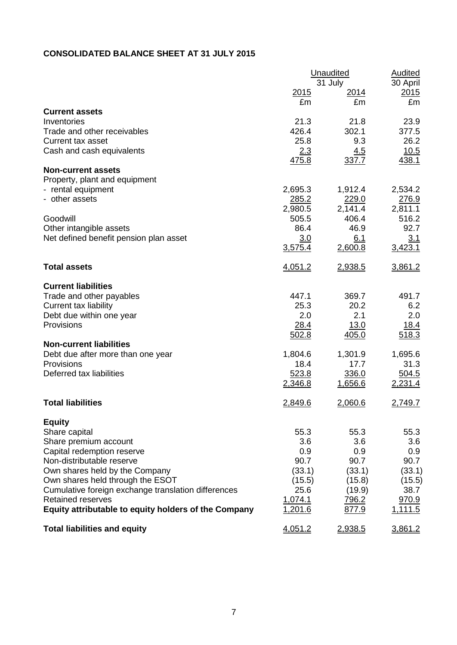# **CONSOLIDATED BALANCE SHEET AT 31 JULY 2015**

|                                                      | Unaudited | <b>Audited</b><br>30 April |         |
|------------------------------------------------------|-----------|----------------------------|---------|
|                                                      | 2015      | 31 July<br><u> 2014</u>    | 2015    |
|                                                      | £m        | £m                         | £m      |
| <b>Current assets</b>                                |           |                            |         |
| Inventories                                          | 21.3      | 21.8                       | 23.9    |
| Trade and other receivables                          | 426.4     | 302.1                      | 377.5   |
| <b>Current tax asset</b>                             | 25.8      | 9.3                        | 26.2    |
| Cash and cash equivalents                            | 2.3       | <u>4.5</u>                 | 10.5    |
| <b>Non-current assets</b>                            | 475.8     | 337.7                      | 438.1   |
| Property, plant and equipment                        |           |                            |         |
| - rental equipment                                   | 2,695.3   | 1,912.4                    | 2,534.2 |
| - other assets                                       | 285.2     | 229.0                      | 276.9   |
|                                                      | 2,980.5   | 2,141.4                    | 2,811.1 |
| Goodwill                                             | 505.5     | 406.4                      | 516.2   |
| Other intangible assets                              | 86.4      | 46.9                       | 92.7    |
| Net defined benefit pension plan asset               | 3.0       | 6.1                        | 3.1     |
|                                                      | 3,575.4   | 2,600.8                    | 3,423.1 |
| <b>Total assets</b>                                  | 4,051.2   | 2,938.5                    | 3,861.2 |
| <b>Current liabilities</b>                           |           |                            |         |
| Trade and other payables                             | 447.1     | 369.7                      | 491.7   |
| <b>Current tax liability</b>                         | 25.3      | 20.2                       | 6.2     |
| Debt due within one year                             | 2.0       | 2.1                        | 2.0     |
| Provisions                                           | 28.4      | 13.0                       | 18.4    |
|                                                      | 502.8     | 405.0                      | 518.3   |
| <b>Non-current liabilities</b>                       |           |                            |         |
| Debt due after more than one year                    | 1,804.6   | 1,301.9                    | 1,695.6 |
| Provisions                                           | 18.4      | 17.7                       | 31.3    |
| Deferred tax liabilities                             | 523.8     | 336.0                      | 504.5   |
|                                                      | 2,346.8   | <u>1,656.6</u>             | 2,231.4 |
| <b>Total liabilities</b>                             | 2,849.6   | 2,060.6                    | 2,749.7 |
| <b>Equity</b>                                        |           |                            |         |
| Share capital                                        | 55.3      | 55.3                       | 55.3    |
| Share premium account                                | 3.6       | 3.6                        | 3.6     |
| Capital redemption reserve                           | 0.9       | 0.9                        | 0.9     |
| Non-distributable reserve                            | 90.7      | 90.7                       | 90.7    |
| Own shares held by the Company                       | (33.1)    | (33.1)                     | (33.1)  |
| Own shares held through the ESOT                     | (15.5)    | (15.8)                     | (15.5)  |
| Cumulative foreign exchange translation differences  | 25.6      | (19.9)                     | 38.7    |
| <b>Retained reserves</b>                             | 1,074.1   | 796.2                      | 970.9   |
| Equity attributable to equity holders of the Company | 1,201.6   | 877.9                      | 1,111.5 |
| <b>Total liabilities and equity</b>                  | 4,051.2   | 2,938.5                    | 3,861.2 |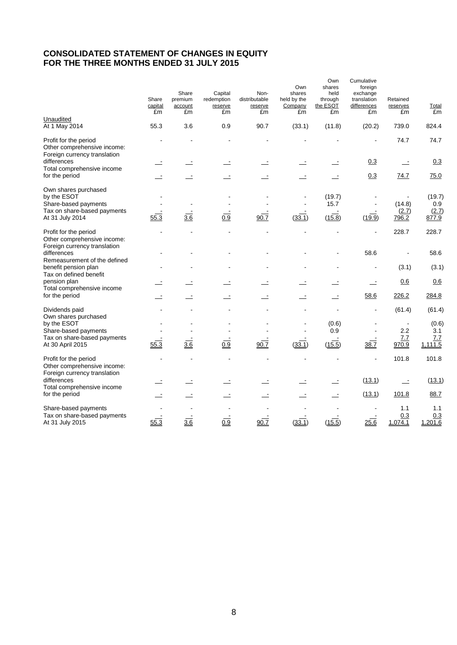# **CONSOLIDATED STATEMENT OF CHANGES IN EQUITY FOR THE THREE MONTHS ENDED 31 JULY 2015**

|                                                                                                               | Share<br>capital<br>£m | Share<br>premium<br>account<br>£m | Capital<br>redemption<br>reserve<br>£m | Non-<br>distributable<br>reserve<br>£m | Own<br>shares<br>held by the<br>Company<br>£m | Own<br>shares<br>held<br>through<br>the ESOT<br>£m | Cumulative<br>foreign<br>exchange<br>translation<br>differences<br>£m | Retained<br>reserves<br>£m | <b>Total</b><br>£m              |
|---------------------------------------------------------------------------------------------------------------|------------------------|-----------------------------------|----------------------------------------|----------------------------------------|-----------------------------------------------|----------------------------------------------------|-----------------------------------------------------------------------|----------------------------|---------------------------------|
| Unaudited<br>At 1 May 2014                                                                                    | 55.3                   | 3.6                               | 0.9                                    | 90.7                                   | (33.1)                                        | (11.8)                                             | (20.2)                                                                | 739.0                      | 824.4                           |
| Profit for the period<br>Other comprehensive income:<br>Foreign currency translation                          |                        |                                   |                                        |                                        |                                               |                                                    |                                                                       | 74.7                       | 74.7                            |
| differences                                                                                                   |                        |                                   |                                        |                                        |                                               |                                                    | 0.3                                                                   | $\overline{a}$             | 0.3                             |
| Total comprehensive income<br>for the period                                                                  |                        |                                   |                                        | $\overline{\phantom{a}}$               |                                               |                                                    | 0.3                                                                   | 74.7                       | 75.0                            |
| Own shares purchased<br>by the ESOT<br>Share-based payments<br>Tax on share-based payments<br>At 31 July 2014 | 55.3                   | 3.6                               | $\overline{0.9}$                       | 90.7                                   | (33.1)                                        | (19.7)<br>15.7<br>(15.8)                           | $\blacksquare$<br>(19.9)                                              | (14.8)<br>(2.7)<br>796.2   | (19.7)<br>0.9<br>(2.7)<br>877.9 |
| Profit for the period<br>Other comprehensive income:<br>Foreign currency translation                          |                        |                                   |                                        |                                        |                                               |                                                    | ä,                                                                    | 228.7                      | 228.7                           |
| differences<br>Remeasurement of the defined<br>benefit pension plan                                           |                        |                                   |                                        |                                        |                                               |                                                    | 58.6                                                                  | (3.1)                      | 58.6<br>(3.1)                   |
| Tax on defined benefit                                                                                        |                        |                                   |                                        |                                        |                                               |                                                    |                                                                       |                            |                                 |
| pension plan<br>Total comprehensive income                                                                    |                        |                                   |                                        |                                        |                                               |                                                    | $\equiv$                                                              | 0.6                        | 0.6                             |
| for the period                                                                                                |                        |                                   |                                        |                                        |                                               |                                                    | 58.6                                                                  | 226.2                      | 284.8                           |
| Dividends paid<br>Own shares purchased                                                                        |                        |                                   |                                        |                                        |                                               |                                                    |                                                                       | (61.4)                     | (61.4)                          |
| by the ESOT<br>Share-based payments                                                                           |                        |                                   |                                        |                                        |                                               | (0.6)<br>0.9                                       |                                                                       | 2.2                        | (0.6)<br>3.1                    |
| Tax on share-based payments<br>At 30 April 2015                                                               | 55.3                   | 3.6                               | 0.9                                    | 90.7                                   | (33.1)                                        | (15.5)                                             | 38.7                                                                  | 7.7<br>970.9               | 7.7<br>1,111.5                  |
| Profit for the period<br>Other comprehensive income:<br>Foreign currency translation                          |                        |                                   | ä,                                     |                                        |                                               | $\overline{\phantom{a}}$                           | $\blacksquare$                                                        | 101.8                      | 101.8                           |
| differences<br>Total comprehensive income                                                                     |                        |                                   |                                        |                                        |                                               |                                                    | (13.1)                                                                | ÷.                         | (13.1)                          |
| for the period                                                                                                |                        |                                   |                                        | $\equiv$                               |                                               |                                                    | (13.1)                                                                | 101.8                      | 88.7                            |
| Share-based payments<br>Tax on share-based payments<br>At 31 July 2015                                        | 55.3                   | 3.6                               | 0.9                                    | $\frac{1}{90.7}$                       | (33.1)                                        | (15.5)                                             | 25.6                                                                  | 1.1<br>0.3<br>1,074.1      | 1.1<br>0.3<br>1,201.6           |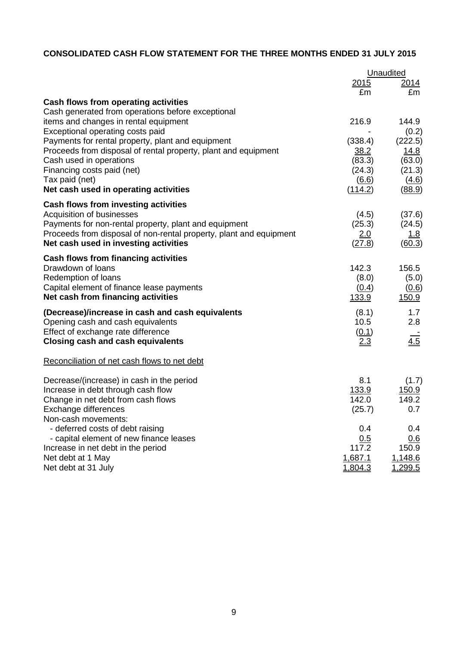# **CONSOLIDATED CASH FLOW STATEMENT FOR THE THREE MONTHS ENDED 31 JULY 2015**

|                                                                    |                | Unaudited     |
|--------------------------------------------------------------------|----------------|---------------|
|                                                                    | 2015           | <u>2014</u>   |
|                                                                    | £m             | £m            |
| Cash flows from operating activities                               |                |               |
| Cash generated from operations before exceptional                  |                |               |
| items and changes in rental equipment                              | 216.9          | 144.9         |
| Exceptional operating costs paid                                   |                | (0.2)         |
| Payments for rental property, plant and equipment                  | (338.4)        | (222.5)       |
| Proceeds from disposal of rental property, plant and equipment     | 38.2           | 14.8          |
| Cash used in operations                                            | (83.3)         | (63.0)        |
| Financing costs paid (net)                                         | (24.3)         | (21.3)        |
| Tax paid (net)                                                     | (6.6)          | (4.6)         |
| Net cash used in operating activities                              | (114.2)        | (88.9)        |
| Cash flows from investing activities                               |                |               |
| Acquisition of businesses                                          | (4.5)          | (37.6)        |
| Payments for non-rental property, plant and equipment              | (25.3)         | (24.5)        |
| Proceeds from disposal of non-rental property, plant and equipment | 2.0            | <u>1.8</u>    |
| Net cash used in investing activities                              | (27.8)         | (60.3)        |
| <b>Cash flows from financing activities</b>                        |                |               |
| Drawdown of loans                                                  | 142.3          | 156.5         |
| Redemption of loans                                                | (8.0)          | (5.0)         |
| Capital element of finance lease payments                          | (0.4)          | (0.6)         |
| Net cash from financing activities                                 | 133.9          | <u>150.9</u>  |
| (Decrease)/increase in cash and cash equivalents                   | (8.1)          | 1.7           |
| Opening cash and cash equivalents                                  | 10.5           | 2.8           |
| Effect of exchange rate difference                                 | (0.1)          |               |
| <b>Closing cash and cash equivalents</b>                           | 2.3            | 4.5           |
| Reconciliation of net cash flows to net debt                       |                |               |
| Decrease/(increase) in cash in the period                          | 8.1            | (1.7)         |
| Increase in debt through cash flow                                 | 133.9          | <u>150.9</u>  |
| Change in net debt from cash flows                                 | 142.0          | 149.2         |
| Exchange differences                                               | (25.7)         | 0.7           |
| Non-cash movements:                                                |                |               |
| - deferred costs of debt raising                                   | 0.4            | 0.4           |
| - capital element of new finance leases                            | 0.5            | 0.6           |
| Increase in net debt in the period                                 | 117.2          | 150.9         |
| Net debt at 1 May                                                  | 1,687.1        | 1,148.6       |
| Net debt at 31 July                                                | <u>1,804.3</u> | <u>.299.5</u> |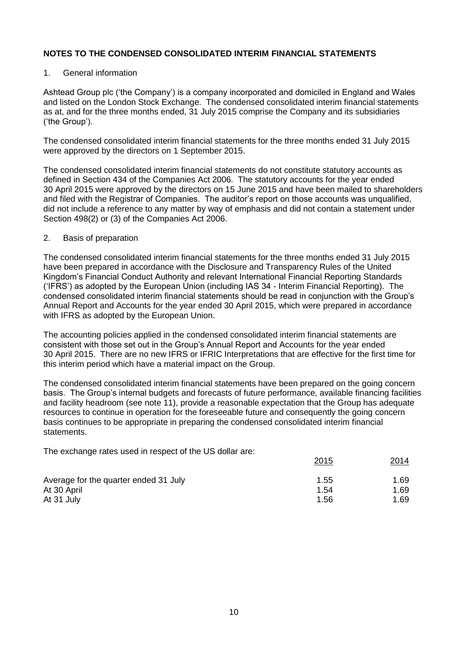## 1. General information

Ashtead Group plc ('the Company') is a company incorporated and domiciled in England and Wales and listed on the London Stock Exchange. The condensed consolidated interim financial statements as at, and for the three months ended, 31 July 2015 comprise the Company and its subsidiaries ('the Group').

The condensed consolidated interim financial statements for the three months ended 31 July 2015 were approved by the directors on 1 September 2015.

The condensed consolidated interim financial statements do not constitute statutory accounts as defined in Section 434 of the Companies Act 2006. The statutory accounts for the year ended 30 April 2015 were approved by the directors on 15 June 2015 and have been mailed to shareholders and filed with the Registrar of Companies. The auditor's report on those accounts was unqualified, did not include a reference to any matter by way of emphasis and did not contain a statement under Section 498(2) or (3) of the Companies Act 2006.

### 2. Basis of preparation

The condensed consolidated interim financial statements for the three months ended 31 July 2015 have been prepared in accordance with the Disclosure and Transparency Rules of the United Kingdom's Financial Conduct Authority and relevant International Financial Reporting Standards ('IFRS') as adopted by the European Union (including IAS 34 - Interim Financial Reporting). The condensed consolidated interim financial statements should be read in conjunction with the Group's Annual Report and Accounts for the year ended 30 April 2015, which were prepared in accordance with IFRS as adopted by the European Union.

The accounting policies applied in the condensed consolidated interim financial statements are consistent with those set out in the Group's Annual Report and Accounts for the year ended 30 April 2015. There are no new IFRS or IFRIC Interpretations that are effective for the first time for this interim period which have a material impact on the Group.

The condensed consolidated interim financial statements have been prepared on the going concern basis. The Group's internal budgets and forecasts of future performance, available financing facilities and facility headroom (see note 11), provide a reasonable expectation that the Group has adequate resources to continue in operation for the foreseeable future and consequently the going concern basis continues to be appropriate in preparing the condensed consolidated interim financial statements.

The exchange rates used in respect of the US dollar are:

|                                       | 2015 | 2014 |
|---------------------------------------|------|------|
| Average for the quarter ended 31 July | 1.55 | 1.69 |
| At 30 April                           | 1.54 | 1.69 |
| At 31 July                            | 1.56 | 1.69 |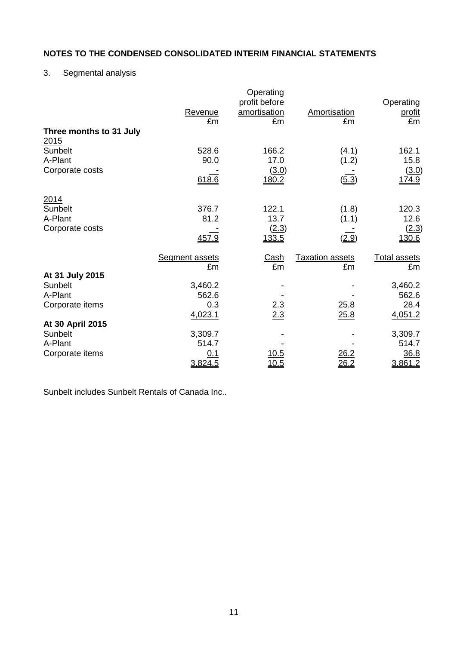# 3. Segmental analysis

| Revenue               | Operating<br>profit before<br>amortisation                                                                | Amortisation                                                              | Operating<br><u>profit</u><br>£m                                      |
|-----------------------|-----------------------------------------------------------------------------------------------------------|---------------------------------------------------------------------------|-----------------------------------------------------------------------|
|                       |                                                                                                           |                                                                           |                                                                       |
|                       |                                                                                                           |                                                                           | 162.1                                                                 |
| 90.0                  | 17.0                                                                                                      | (1.2)                                                                     | 15.8                                                                  |
|                       | (3.0)                                                                                                     |                                                                           | (3.0)                                                                 |
|                       |                                                                                                           |                                                                           | <u>174.9</u>                                                          |
|                       |                                                                                                           |                                                                           |                                                                       |
| 376.7                 | 122.1                                                                                                     | (1.8)                                                                     | 120.3                                                                 |
| 81.2                  | 13.7                                                                                                      | (1.1)                                                                     | 12.6                                                                  |
|                       | (2.3)                                                                                                     |                                                                           | (2.3)                                                                 |
|                       |                                                                                                           |                                                                           | 130.6                                                                 |
| <b>Segment assets</b> | <u>Cash</u>                                                                                               | <b>Taxation assets</b>                                                    | <b>Total assets</b>                                                   |
| £m                    | £m                                                                                                        | £m                                                                        | £m                                                                    |
|                       |                                                                                                           |                                                                           |                                                                       |
|                       |                                                                                                           |                                                                           | 3,460.2                                                               |
|                       |                                                                                                           |                                                                           | 562.6                                                                 |
|                       |                                                                                                           |                                                                           | 28.4                                                                  |
|                       |                                                                                                           |                                                                           | 4,051.2                                                               |
|                       |                                                                                                           |                                                                           |                                                                       |
|                       |                                                                                                           |                                                                           | 3,309.7<br>514.7                                                      |
|                       |                                                                                                           |                                                                           | 36.8                                                                  |
|                       |                                                                                                           |                                                                           | 3,861.2                                                               |
|                       | £m<br>528.6<br>618.6<br>457.9<br>3,460.2<br>562.6<br>0.3<br>4,023.1<br>3,309.7<br>514.7<br>0.1<br>3,824.5 | £m<br>166.2<br>180.2<br><u>133.5</u><br>$\frac{2.3}{2.3}$<br>10.5<br>10.5 | £m<br>(4.1)<br>(5.3)<br>(2.9)<br>25.8<br>25.8<br>26.2<br><u> 26.2</u> |

Sunbelt includes Sunbelt Rentals of Canada Inc..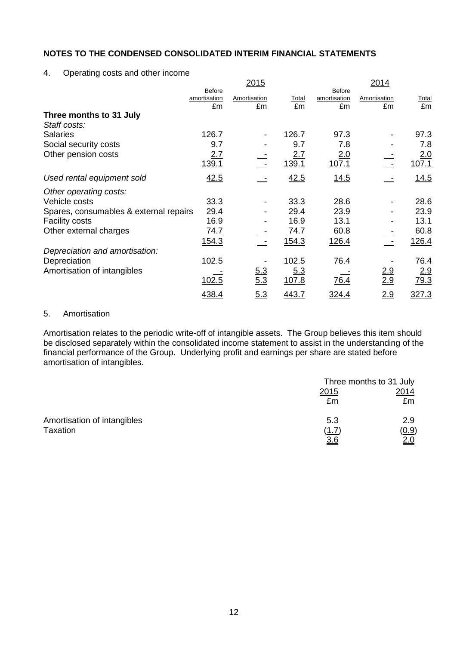4. Operating costs and other income

|                                         |                                     | <u>2015</u>        |                    |                                     | 2014               |                    |
|-----------------------------------------|-------------------------------------|--------------------|--------------------|-------------------------------------|--------------------|--------------------|
|                                         | <b>Before</b><br>amortisation<br>£m | Amortisation<br>£m | <b>Total</b><br>£m | <b>Before</b><br>amortisation<br>£m | Amortisation<br>£m | <u>Total</u><br>£m |
| Three months to 31 July<br>Staff costs: |                                     |                    |                    |                                     |                    |                    |
| <b>Salaries</b>                         | 126.7                               |                    | 126.7              | 97.3                                |                    | 97.3               |
| Social security costs                   | 9.7                                 |                    | 9.7                | 7.8                                 |                    | 7.8                |
| Other pension costs                     | 2.7<br>139.1                        |                    | 2.7<br>139.1       | 2.0<br>107.1                        |                    | 2.0<br>107.1       |
| Used rental equipment sold              | 42.5                                |                    | 42.5               | 14.5                                |                    | 14.5               |
| Other operating costs:                  |                                     |                    |                    |                                     |                    |                    |
| Vehicle costs                           | 33.3                                |                    | 33.3               | 28.6                                |                    | 28.6               |
| Spares, consumables & external repairs  | 29.4                                |                    | 29.4               | 23.9                                |                    | 23.9               |
| <b>Facility costs</b>                   | 16.9                                |                    | 16.9               | 13.1                                |                    | 13.1               |
| Other external charges                  | 74.7                                |                    | 74.7               | 60.8                                |                    | 60.8               |
|                                         | 154.3                               |                    | 154.3              | 126.4                               |                    | 126.4              |
| Depreciation and amortisation:          |                                     |                    |                    |                                     |                    |                    |
| Depreciation                            | 102.5                               |                    | 102.5              | 76.4                                |                    | 76.4               |
| Amortisation of intangibles             | 102.5                               | 6.3<br>5.3         | 5.3<br>107.8       | 76.4                                | <u>2.9</u><br>2.9  | 2.9<br>79.3        |
|                                         | 438.4                               | 5.3                | 443.7              | <u>324.4</u>                        | 2.9                | 327.3              |

## 5. Amortisation

Amortisation relates to the periodic write-off of intangible assets. The Group believes this item should be disclosed separately within the consolidated income statement to assist in the understanding of the financial performance of the Group. Underlying profit and earnings per share are stated before amortisation of intangibles.

|                             | Three months to 31 July |            |
|-----------------------------|-------------------------|------------|
|                             | <u>2015</u>             | 2014       |
|                             | £m                      | £m         |
| Amortisation of intangibles | 5.3                     | 2.9        |
| Taxation                    | (1.7)                   | (0.9)      |
|                             | 36                      | <u>2.0</u> |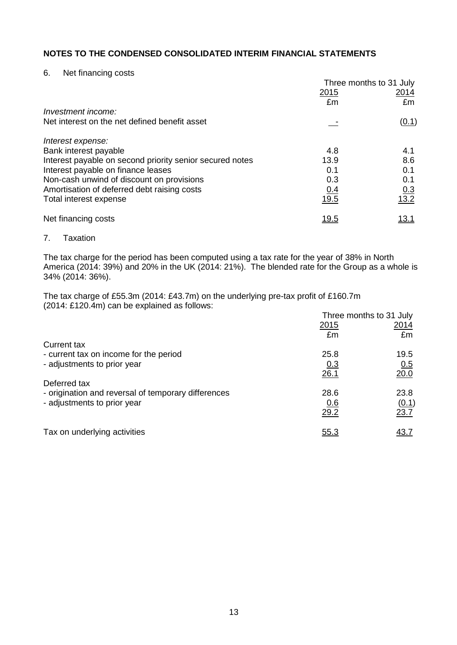6. Net financing costs

|                                                          | Three months to 31 July |                    |
|----------------------------------------------------------|-------------------------|--------------------|
|                                                          | 2015                    | 2014               |
|                                                          | £m                      | £m                 |
| Investment income:                                       |                         |                    |
| Net interest on the net defined benefit asset            |                         | (0.1)              |
| Interest expense:                                        |                         |                    |
| Bank interest payable                                    | 4.8                     | 4.1                |
| Interest payable on second priority senior secured notes | 13.9                    | 8.6                |
| Interest payable on finance leases                       | 0.1                     | 0.1                |
| Non-cash unwind of discount on provisions                | 0.3                     | 0.1                |
| Amortisation of deferred debt raising costs              | <u>0.4</u>              |                    |
| Total interest expense                                   | 19.5                    | $\frac{0.3}{13.2}$ |
| Net financing costs                                      | <u> 19.5</u>            | <u> 13.1</u>       |

7. Taxation

The tax charge for the period has been computed using a tax rate for the year of 38% in North America (2014: 39%) and 20% in the UK (2014: 21%). The blended rate for the Group as a whole is 34% (2014: 36%).

The tax charge of £55.3m (2014: £43.7m) on the underlying pre-tax profit of £160.7m (2014: £120.4m) can be explained as follows:

|                                                     | Three months to 31 July |             |
|-----------------------------------------------------|-------------------------|-------------|
|                                                     | 2015                    | <u>2014</u> |
|                                                     | £m                      | £m          |
| <b>Current tax</b>                                  |                         |             |
| - current tax on income for the period              | 25.8                    | 19.5        |
| - adjustments to prior year                         | 0.3                     | 0.5         |
|                                                     | 26.1                    | 20.0        |
| Deferred tax                                        |                         |             |
| - origination and reversal of temporary differences | 28.6                    | 23.8        |
| - adjustments to prior year                         | 0.6                     | (0.1)       |
|                                                     | 29.2                    | 23.7        |
| Tax on underlying activities                        | <u>55.3</u>             | <u>43.7</u> |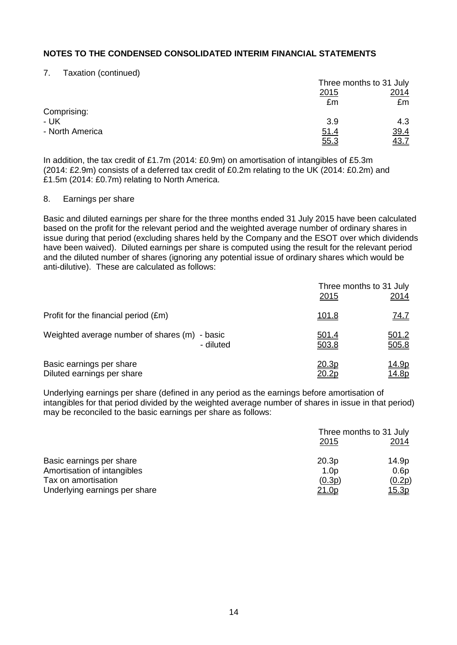7. Taxation (continued)

|                 |             | Three months to 31 July |
|-----------------|-------------|-------------------------|
|                 | <u>2015</u> | 2014                    |
|                 | £m          | £m                      |
| Comprising:     |             |                         |
| - UK            | 3.9         | 4.3                     |
| - North America | 51.4        | <u>39.4</u>             |
|                 | 55.3        | 43.7                    |

In addition, the tax credit of £1.7m (2014: £0.9m) on amortisation of intangibles of £5.3m (2014: £2.9m) consists of a deferred tax credit of £0.2m relating to the UK (2014: £0.2m) and £1.5m (2014: £0.7m) relating to North America.

#### 8. Earnings per share

Basic and diluted earnings per share for the three months ended 31 July 2015 have been calculated based on the profit for the relevant period and the weighted average number of ordinary shares in issue during that period (excluding shares held by the Company and the ESOT over which dividends have been waived). Diluted earnings per share is computed using the result for the relevant period and the diluted number of shares (ignoring any potential issue of ordinary shares which would be anti-dilutive). These are calculated as follows:

|                                                        |           | Three months to 31 July<br><u>2015</u><br>2014  |
|--------------------------------------------------------|-----------|-------------------------------------------------|
| Profit for the financial period (£m)                   |           | <u>101.8</u><br><u>74.7</u>                     |
| Weighted average number of shares (m) - basic          | - diluted | <u>501.2</u><br><u>501.4</u><br>505.8<br>503.8  |
| Basic earnings per share<br>Diluted earnings per share |           | 20.3p<br><u> 14.9p</u><br><u>14.8p</u><br>20.2p |

Underlying earnings per share (defined in any period as the earnings before amortisation of intangibles for that period divided by the weighted average number of shares in issue in that period) may be reconciled to the basic earnings per share as follows:

|                               | Three months to 31 July<br><u> 2015</u> | 2014         |
|-------------------------------|-----------------------------------------|--------------|
| Basic earnings per share      | 20.3p                                   | 14.9p        |
| Amortisation of intangibles   | 1.0 <sub>p</sub>                        | 0.6p         |
| Tax on amortisation           | (0.3p)                                  | (0.2p)       |
| Underlying earnings per share | 21.0p                                   | <u>15.3p</u> |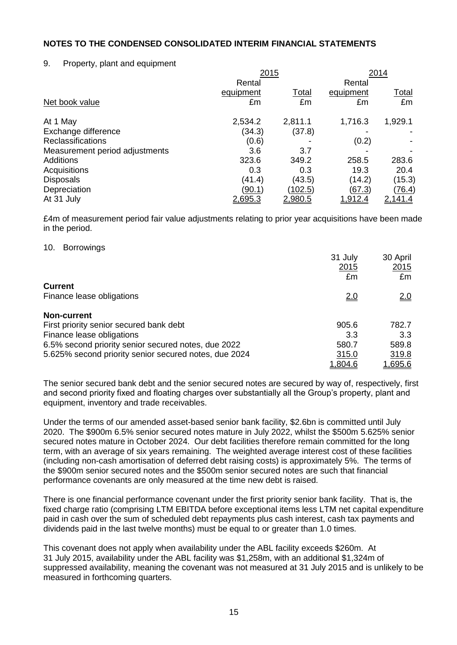# 9. Property, plant and equipment

|                                | 2015          |                | 2014           |                |
|--------------------------------|---------------|----------------|----------------|----------------|
|                                | Rental        |                | Rental         |                |
|                                | equipment     | <u>Total</u>   | equipment      | <u>Total</u>   |
| Net book value                 | £m            | £m             | £m             | £m             |
| At 1 May                       | 2,534.2       | 2,811.1        | 1,716.3        | 1,929.1        |
| Exchange difference            | (34.3)        | (37.8)         |                |                |
| <b>Reclassifications</b>       | (0.6)         |                | (0.2)          |                |
| Measurement period adjustments | 3.6           | 3.7            |                |                |
| <b>Additions</b>               | 323.6         | 349.2          | 258.5          | 283.6          |
| Acquisitions                   | 0.3           | 0.3            | 19.3           | 20.4           |
| <b>Disposals</b>               | (41.4)        | (43.5)         | (14.2)         | (15.3)         |
| Depreciation                   | <u>(90.1)</u> | <u>(102.5)</u> | (67.3)         | <u>(76.4)</u>  |
| At 31 July                     | 2,695.3       | 2,980.5        | <u>1,912.4</u> | <u>2.141.4</u> |

£4m of measurement period fair value adjustments relating to prior year acquisitions have been made in the period.

### 10. Borrowings

|                                                       | 31 July | 30 April       |
|-------------------------------------------------------|---------|----------------|
|                                                       | 2015    | 2015           |
|                                                       | £m      | £m             |
| <b>Current</b>                                        |         |                |
| Finance lease obligations                             | 2.0     | 2.0            |
| <b>Non-current</b>                                    |         |                |
| First priority senior secured bank debt               | 905.6   | 782.7          |
| Finance lease obligations                             | 3.3     | 3.3            |
| 6.5% second priority senior secured notes, due 2022   | 580.7   | 589.8          |
| 5.625% second priority senior secured notes, due 2024 | 315.0   | 319.8          |
|                                                       | 1,804.6 | <u>1,695.6</u> |

The senior secured bank debt and the senior secured notes are secured by way of, respectively, first and second priority fixed and floating charges over substantially all the Group's property, plant and equipment, inventory and trade receivables.

Under the terms of our amended asset-based senior bank facility, \$2.6bn is committed until July 2020. The \$900m 6.5% senior secured notes mature in July 2022, whilst the \$500m 5.625% senior secured notes mature in October 2024. Our debt facilities therefore remain committed for the long term, with an average of six years remaining. The weighted average interest cost of these facilities (including non-cash amortisation of deferred debt raising costs) is approximately 5%. The terms of the \$900m senior secured notes and the \$500m senior secured notes are such that financial performance covenants are only measured at the time new debt is raised.

There is one financial performance covenant under the first priority senior bank facility. That is, the fixed charge ratio (comprising LTM EBITDA before exceptional items less LTM net capital expenditure paid in cash over the sum of scheduled debt repayments plus cash interest, cash tax payments and dividends paid in the last twelve months) must be equal to or greater than 1.0 times.

This covenant does not apply when availability under the ABL facility exceeds \$260m. At 31 July 2015, availability under the ABL facility was \$1,258m, with an additional \$1,324m of suppressed availability, meaning the covenant was not measured at 31 July 2015 and is unlikely to be measured in forthcoming quarters.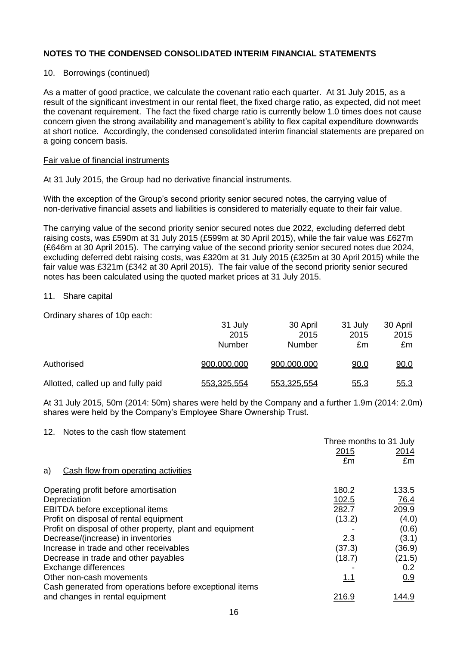## 10. Borrowings (continued)

As a matter of good practice, we calculate the covenant ratio each quarter. At 31 July 2015, as a result of the significant investment in our rental fleet, the fixed charge ratio, as expected, did not meet the covenant requirement. The fact the fixed charge ratio is currently below 1.0 times does not cause concern given the strong availability and management's ability to flex capital expenditure downwards at short notice. Accordingly, the condensed consolidated interim financial statements are prepared on a going concern basis.

#### Fair value of financial instruments

At 31 July 2015, the Group had no derivative financial instruments.

With the exception of the Group's second priority senior secured notes, the carrying value of non-derivative financial assets and liabilities is considered to materially equate to their fair value.

The carrying value of the second priority senior secured notes due 2022, excluding deferred debt raising costs, was £590m at 31 July 2015 (£599m at 30 April 2015), while the fair value was £627m (£646m at 30 April 2015). The carrying value of the second priority senior secured notes due 2024, excluding deferred debt raising costs, was £320m at 31 July 2015 (£325m at 30 April 2015) while the fair value was £321m (£342 at 30 April 2015). The fair value of the second priority senior secured notes has been calculated using the quoted market prices at 31 July 2015.

### 11. Share capital

Ordinary shares of 10p each:

|                                    | 31 July<br>2015<br>Number | 30 April<br>2015<br>Number | 31 July<br>2015<br>£m | 30 April<br>2015<br>£m |
|------------------------------------|---------------------------|----------------------------|-----------------------|------------------------|
| Authorised                         | 900,000,000               | 900,000,000                | <u>90.0</u>           | <u>90.0</u>            |
| Allotted, called up and fully paid | 553,325,554               | 553,325,554                | <u>55.3</u>           | <u>55.3</u>            |

At 31 July 2015, 50m (2014: 50m) shares were held by the Company and a further 1.9m (2014: 2.0m) shares were held by the Company's Employee Share Ownership Trust.

#### 12. Notes to the cash flow statement

|                                                           | Three months to 31 July<br>2015<br>£m | 2014<br>£m   |
|-----------------------------------------------------------|---------------------------------------|--------------|
| Cash flow from operating activities<br>a)                 |                                       |              |
| Operating profit before amortisation                      | 180.2                                 | 133.5        |
| Depreciation                                              | 102.5                                 | 76.4         |
| EBITDA before exceptional items                           | 282.7                                 | 209.9        |
| Profit on disposal of rental equipment                    | (13.2)                                | (4.0)        |
| Profit on disposal of other property, plant and equipment |                                       | (0.6)        |
| Decrease/(increase) in inventories                        | 2.3                                   | (3.1)        |
| Increase in trade and other receivables                   | (37.3)                                | (36.9)       |
| Decrease in trade and other payables                      | (18.7)                                | (21.5)       |
| Exchange differences                                      |                                       | 0.2          |
| Other non-cash movements                                  | 1.1                                   | 0.9          |
| Cash generated from operations before exceptional items   |                                       |              |
| and changes in rental equipment                           | <u> 216.9</u>                         | <u>144.9</u> |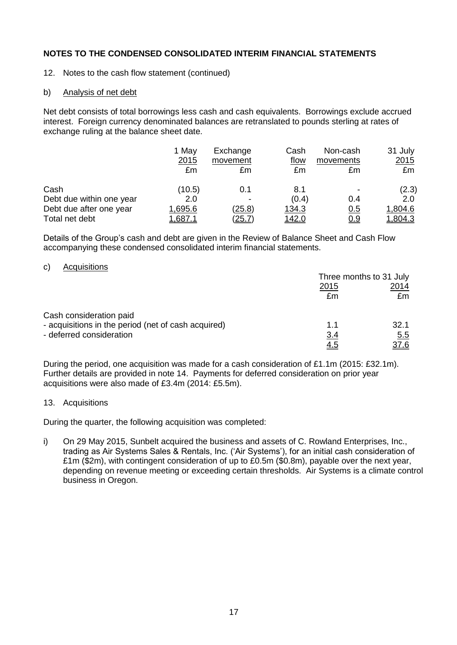- 12. Notes to the cash flow statement (continued)
- b) Analysis of net debt

Net debt consists of total borrowings less cash and cash equivalents. Borrowings exclude accrued interest. Foreign currency denominated balances are retranslated to pounds sterling at rates of exchange ruling at the balance sheet date.

|                          | 1 May<br>2015<br>£m | Exchange<br>movement<br>£m | Cash<br>flow<br>£m | Non-cash<br>movements<br>£m | 31 July<br>2015<br>£m |
|--------------------------|---------------------|----------------------------|--------------------|-----------------------------|-----------------------|
| Cash                     | (10.5)              | 0.1                        | 8.1                |                             | (2.3)                 |
| Debt due within one year | 2.0                 | $\overline{\phantom{0}}$   | (0.4)              | 0.4                         | 2.0                   |
| Debt due after one year  | 1,695.6             | <u>(25.8)</u>              | 134.3              | <u>0.5</u>                  | 1,804.6               |
| Total net debt           | .687.               | <u>(25.7)</u>              | <u> 142.0</u>      | <u>0.9</u>                  | <u>1.804.3</u>        |

Details of the Group's cash and debt are given in the Review of Balance Sheet and Cash Flow accompanying these condensed consolidated interim financial statements.

### c) Acquisitions

|                                                     | Three months to 31 July |             |
|-----------------------------------------------------|-------------------------|-------------|
|                                                     | <u>2015</u>             | 2014        |
|                                                     | £m                      | £m          |
| Cash consideration paid                             |                         |             |
| - acquisitions in the period (net of cash acquired) | 1.1                     | 32.1        |
| - deferred consideration                            | 3.4                     | 5.5         |
|                                                     | <u>4.5</u>              | <u>37.6</u> |

During the period, one acquisition was made for a cash consideration of £1.1m (2015: £32.1m). Further details are provided in note 14. Payments for deferred consideration on prior year acquisitions were also made of £3.4m (2014: £5.5m).

## 13. Acquisitions

During the quarter, the following acquisition was completed:

i) On 29 May 2015, Sunbelt acquired the business and assets of C. Rowland Enterprises, Inc., trading as Air Systems Sales & Rentals, Inc. ('Air Systems'), for an initial cash consideration of £1m (\$2m), with contingent consideration of up to £0.5m (\$0.8m), payable over the next year, depending on revenue meeting or exceeding certain thresholds. Air Systems is a climate control business in Oregon.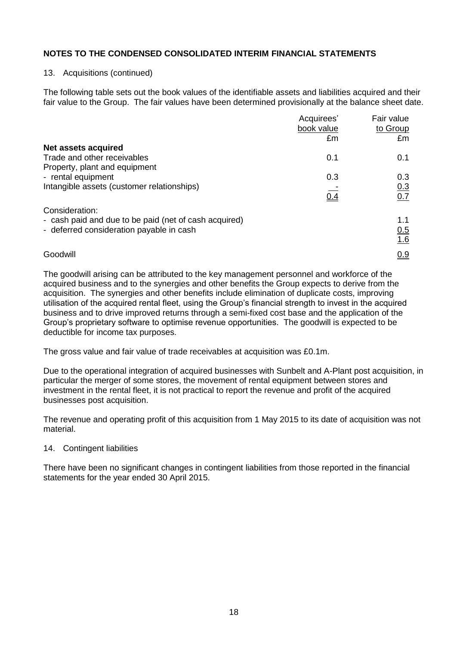### 13. Acquisitions (continued)

The following table sets out the book values of the identifiable assets and liabilities acquired and their fair value to the Group. The fair values have been determined provisionally at the balance sheet date.

|                                                       | Acquirees'<br>book value | Fair value<br>to Group |
|-------------------------------------------------------|--------------------------|------------------------|
|                                                       | £m                       | £m                     |
| Net assets acquired                                   |                          |                        |
| Trade and other receivables                           | 0.1                      | 0.1                    |
| Property, plant and equipment                         |                          |                        |
| - rental equipment                                    | 0.3                      | 0.3                    |
| Intangible assets (customer relationships)            |                          |                        |
|                                                       | $\frac{1}{0.4}$          | $\frac{0.3}{0.7}$      |
| Consideration:                                        |                          |                        |
| - cash paid and due to be paid (net of cash acquired) |                          | 1.1                    |
| - deferred consideration payable in cash              |                          | 0.5                    |
|                                                       |                          | 1.6                    |
| Goodwill                                              |                          | <u>0.9</u>             |

The goodwill arising can be attributed to the key management personnel and workforce of the acquired business and to the synergies and other benefits the Group expects to derive from the acquisition. The synergies and other benefits include elimination of duplicate costs, improving utilisation of the acquired rental fleet, using the Group's financial strength to invest in the acquired business and to drive improved returns through a semi-fixed cost base and the application of the Group's proprietary software to optimise revenue opportunities. The goodwill is expected to be deductible for income tax purposes.

The gross value and fair value of trade receivables at acquisition was £0.1m.

Due to the operational integration of acquired businesses with Sunbelt and A-Plant post acquisition, in particular the merger of some stores, the movement of rental equipment between stores and investment in the rental fleet, it is not practical to report the revenue and profit of the acquired businesses post acquisition.

The revenue and operating profit of this acquisition from 1 May 2015 to its date of acquisition was not material.

## 14. Contingent liabilities

There have been no significant changes in contingent liabilities from those reported in the financial statements for the year ended 30 April 2015.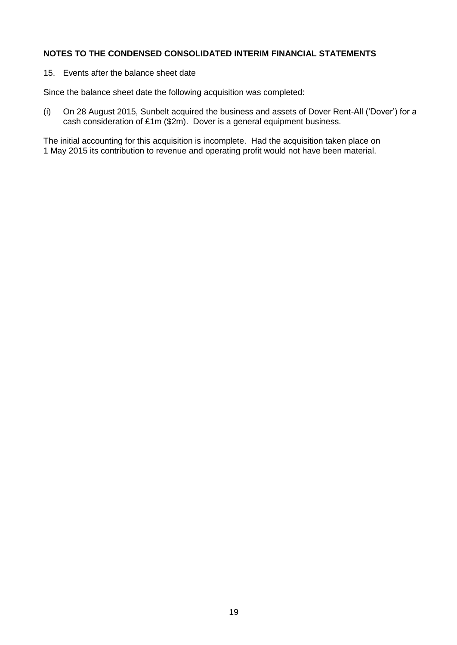15. Events after the balance sheet date

Since the balance sheet date the following acquisition was completed:

(i) On 28 August 2015, Sunbelt acquired the business and assets of Dover Rent-All ('Dover') for a cash consideration of £1m (\$2m). Dover is a general equipment business.

The initial accounting for this acquisition is incomplete. Had the acquisition taken place on 1 May 2015 its contribution to revenue and operating profit would not have been material.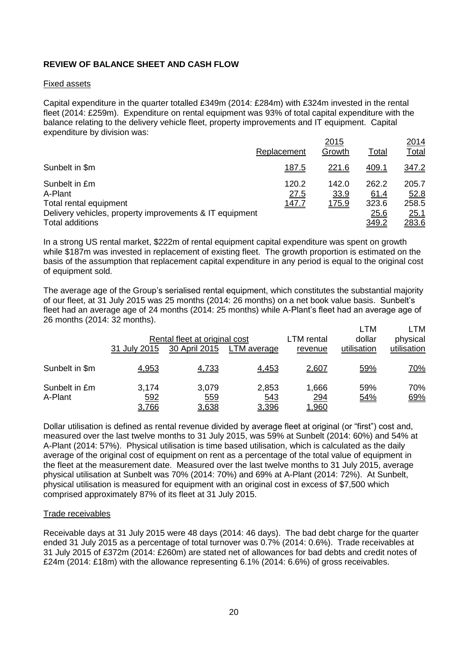# **REVIEW OF BALANCE SHEET AND CASH FLOW**

### Fixed assets

Capital expenditure in the quarter totalled £349m (2014: £284m) with £324m invested in the rental fleet (2014: £259m). Expenditure on rental equipment was 93% of total capital expenditure with the balance relating to the delivery vehicle fleet, property improvements and IT equipment. Capital expenditure by division was:

|                                                         |               | 2015          |               | 2014          |
|---------------------------------------------------------|---------------|---------------|---------------|---------------|
|                                                         | Replacement   | Growth        | Total         | <u>Total</u>  |
| Sunbelt in \$m                                          | <u>187.5</u>  | 221.6         | <u>409.1</u>  | 347.2         |
| Sunbelt in £m<br>A-Plant                                | 120.2<br>27.5 | 142.0<br>33.9 | 262.2<br>61.4 | 205.7<br>52.8 |
| Total rental equipment                                  | <u> 147.7</u> | <u>175.9</u>  | 323.6         | 258.5         |
| Delivery vehicles, property improvements & IT equipment |               |               | 25.6          | <u>25.1</u>   |
| <b>Total additions</b>                                  |               |               | 349.2         | 283.6         |

In a strong US rental market, \$222m of rental equipment capital expenditure was spent on growth while \$187m was invested in replacement of existing fleet. The growth proportion is estimated on the basis of the assumption that replacement capital expenditure in any period is equal to the original cost of equipment sold.

The average age of the Group's serialised rental equipment, which constitutes the substantial majority of our fleet, at 31 July 2015 was 25 months (2014: 26 months) on a net book value basis. Sunbelt's fleet had an average age of 24 months (2014: 25 months) while A-Plant's fleet had an average age of 26 months (2014: 32 months).

|                          | 31 July 2015          | Rental fleet at original cost<br>30 April 2015 | LTM average                  | LTM rental<br>revenue               | <b>LTM</b><br>dollar<br>utilisation | LTM<br>physical<br>utilisation |
|--------------------------|-----------------------|------------------------------------------------|------------------------------|-------------------------------------|-------------------------------------|--------------------------------|
| Sunbelt in \$m           | 4,953                 | 4,733                                          | 4,453                        | <u>2,607</u>                        | 59%                                 | <u>70%</u>                     |
| Sunbelt in £m<br>A-Plant | 3,174<br>592<br>3,766 | 3,079<br>559<br><u>3,638</u>                   | 2,853<br><u>543</u><br>3,396 | 1,666<br><u>294</u><br><u>.,960</u> | 59%<br>54%                          | 70%<br>69%                     |

Dollar utilisation is defined as rental revenue divided by average fleet at original (or "first") cost and, measured over the last twelve months to 31 July 2015, was 59% at Sunbelt (2014: 60%) and 54% at A-Plant (2014: 57%). Physical utilisation is time based utilisation, which is calculated as the daily average of the original cost of equipment on rent as a percentage of the total value of equipment in the fleet at the measurement date. Measured over the last twelve months to 31 July 2015, average physical utilisation at Sunbelt was 70% (2014: 70%) and 69% at A-Plant (2014: 72%). At Sunbelt, physical utilisation is measured for equipment with an original cost in excess of \$7,500 which comprised approximately 87% of its fleet at 31 July 2015.

## Trade receivables

Receivable days at 31 July 2015 were 48 days (2014: 46 days). The bad debt charge for the quarter ended 31 July 2015 as a percentage of total turnover was 0.7% (2014: 0.6%). Trade receivables at 31 July 2015 of £372m (2014: £260m) are stated net of allowances for bad debts and credit notes of £24m (2014: £18m) with the allowance representing 6.1% (2014: 6.6%) of gross receivables.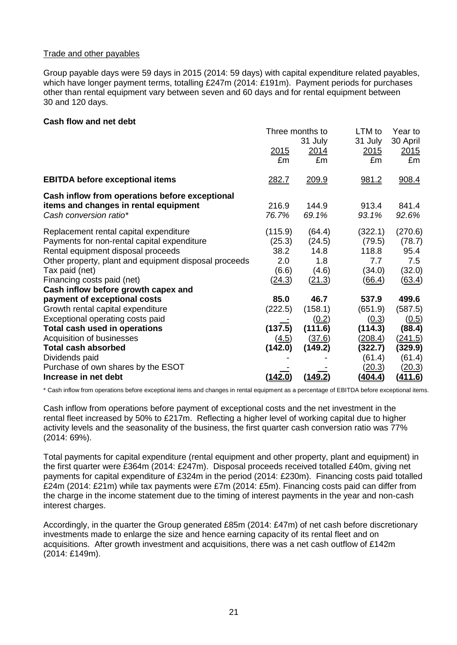## Trade and other payables

Group payable days were 59 days in 2015 (2014: 59 days) with capital expenditure related payables, which have longer payment terms, totalling £247m (2014: £191m). Payment periods for purchases other than rental equipment vary between seven and 60 days and for rental equipment between 30 and 120 days.

### **Cash flow and net debt**

|                                                       | Three months to |                | LTM to         | Year to        |
|-------------------------------------------------------|-----------------|----------------|----------------|----------------|
|                                                       |                 | 31 July        | 31 July        | 30 April       |
|                                                       | <u>2015</u>     | <u> 2014</u>   | 2015           | 2015           |
|                                                       | £m              | £m             | £m             | £m             |
| <b>EBITDA before exceptional items</b>                | <u>282.7</u>    | 209.9          | 981.2          | 908.4          |
| Cash inflow from operations before exceptional        |                 |                |                |                |
| items and changes in rental equipment                 | 216.9           | 144.9          | 913.4          | 841.4          |
| Cash conversion ratio*                                | 76.7%           | 69.1%          | 93.1%          | 92.6%          |
| Replacement rental capital expenditure                | (115.9)         | (64.4)         | (322.1)        | (270.6)        |
| Payments for non-rental capital expenditure           | (25.3)          | (24.5)         | (79.5)         | (78.7)         |
| Rental equipment disposal proceeds                    | 38.2            | 14.8           | 118.8          | 95.4           |
| Other property, plant and equipment disposal proceeds | 2.0             | 1.8            | 7.7            | 7.5            |
| Tax paid (net)                                        | (6.6)           | (4.6)          | (34.0)         | (32.0)         |
| Financing costs paid (net)                            | (24.3)          | (21.3)         | (66.4)         | <u>(63.4)</u>  |
| Cash inflow before growth capex and                   |                 |                |                |                |
| payment of exceptional costs                          | 85.0            | 46.7           | 537.9          | 499.6          |
| Growth rental capital expenditure                     | (222.5)         | (158.1)        | (651.9)        | (587.5)        |
| Exceptional operating costs paid                      |                 | (0.2)          | (0.3)          | (0.5)          |
| Total cash used in operations                         | (137.5)         | (111.6)        | (114.3)        | (88.4)         |
| Acquisition of businesses                             | (4.5)           | <u>(37.6)</u>  | <u>(208.4)</u> | (241.5)        |
| <b>Total cash absorbed</b>                            | (142.0)         | (149.2)        | (322.7)        | (329.9)        |
| Dividends paid                                        |                 |                | (61.4)         | (61.4)         |
| Purchase of own shares by the ESOT                    |                 |                | (20.3)         | (20.3)         |
| Increase in net debt                                  | (142.0)         | <u>(149.2)</u> | <u>(404.4)</u> | <u>(411.6)</u> |

\* Cash inflow from operations before exceptional items and changes in rental equipment as a percentage of EBITDA before exceptional items.

Cash inflow from operations before payment of exceptional costs and the net investment in the rental fleet increased by 50% to £217m. Reflecting a higher level of working capital due to higher activity levels and the seasonality of the business, the first quarter cash conversion ratio was 77% (2014: 69%).

Total payments for capital expenditure (rental equipment and other property, plant and equipment) in the first quarter were £364m (2014: £247m). Disposal proceeds received totalled £40m, giving net payments for capital expenditure of £324m in the period (2014: £230m). Financing costs paid totalled £24m (2014: £21m) while tax payments were £7m (2014: £5m). Financing costs paid can differ from the charge in the income statement due to the timing of interest payments in the year and non-cash interest charges.

Accordingly, in the quarter the Group generated £85m (2014: £47m) of net cash before discretionary investments made to enlarge the size and hence earning capacity of its rental fleet and on acquisitions. After growth investment and acquisitions, there was a net cash outflow of £142m (2014: £149m).